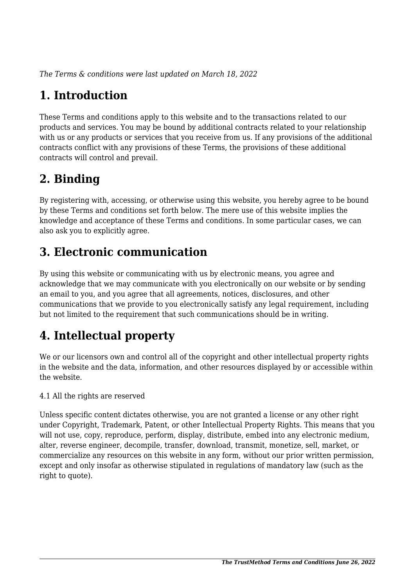*The Terms & conditions were last updated on March 18, 2022*

# **1. Introduction**

These Terms and conditions apply to this website and to the transactions related to our products and services. You may be bound by additional contracts related to your relationship with us or any products or services that you receive from us. If any provisions of the additional contracts conflict with any provisions of these Terms, the provisions of these additional contracts will control and prevail.

### **2. Binding**

By registering with, accessing, or otherwise using this website, you hereby agree to be bound by these Terms and conditions set forth below. The mere use of this website implies the knowledge and acceptance of these Terms and conditions. In some particular cases, we can also ask you to explicitly agree.

### **3. Electronic communication**

By using this website or communicating with us by electronic means, you agree and acknowledge that we may communicate with you electronically on our website or by sending an email to you, and you agree that all agreements, notices, disclosures, and other communications that we provide to you electronically satisfy any legal requirement, including but not limited to the requirement that such communications should be in writing.

# **4. Intellectual property**

We or our licensors own and control all of the copyright and other intellectual property rights in the website and the data, information, and other resources displayed by or accessible within the website.

4.1 All the rights are reserved

Unless specific content dictates otherwise, you are not granted a license or any other right under Copyright, Trademark, Patent, or other Intellectual Property Rights. This means that you will not use, copy, reproduce, perform, display, distribute, embed into any electronic medium, alter, reverse engineer, decompile, transfer, download, transmit, monetize, sell, market, or commercialize any resources on this website in any form, without our prior written permission, except and only insofar as otherwise stipulated in regulations of mandatory law (such as the right to quote).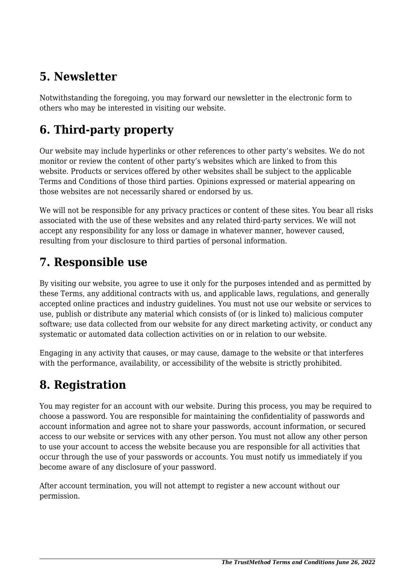### **5. Newsletter**

Notwithstanding the foregoing, you may forward our newsletter in the electronic form to others who may be interested in visiting our website.

# **6. Third-party property**

Our website may include hyperlinks or other references to other party's websites. We do not monitor or review the content of other party's websites which are linked to from this website. Products or services offered by other websites shall be subject to the applicable Terms and Conditions of those third parties. Opinions expressed or material appearing on those websites are not necessarily shared or endorsed by us.

We will not be responsible for any privacy practices or content of these sites. You bear all risks associated with the use of these websites and any related third-party services. We will not accept any responsibility for any loss or damage in whatever manner, however caused, resulting from your disclosure to third parties of personal information.

#### **7. Responsible use**

By visiting our website, you agree to use it only for the purposes intended and as permitted by these Terms, any additional contracts with us, and applicable laws, regulations, and generally accepted online practices and industry guidelines. You must not use our website or services to use, publish or distribute any material which consists of (or is linked to) malicious computer software; use data collected from our website for any direct marketing activity, or conduct any systematic or automated data collection activities on or in relation to our website.

Engaging in any activity that causes, or may cause, damage to the website or that interferes with the performance, availability, or accessibility of the website is strictly prohibited.

### **8. Registration**

You may register for an account with our website. During this process, you may be required to choose a password. You are responsible for maintaining the confidentiality of passwords and account information and agree not to share your passwords, account information, or secured access to our website or services with any other person. You must not allow any other person to use your account to access the website because you are responsible for all activities that occur through the use of your passwords or accounts. You must notify us immediately if you become aware of any disclosure of your password.

After account termination, you will not attempt to register a new account without our permission.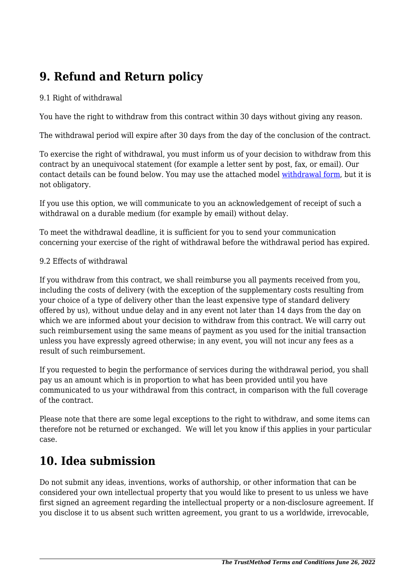# **9. Refund and Return policy**

#### 9.1 Right of withdrawal

You have the right to withdraw from this contract within 30 days without giving any reason.

The withdrawal period will expire after 30 days from the day of the conclusion of the contract.

To exercise the right of withdrawal, you must inform us of your decision to withdraw from this contract by an unequivocal statement (for example a letter sent by post, fax, or email). Our contact details can be found below. You may use the attached model [withdrawal form](https://thetrustmethod.com/wp-content/uploads/complianz/withdrawal-forms/withdrawal-form-en.pdf), but it is not obligatory.

If you use this option, we will communicate to you an acknowledgement of receipt of such a withdrawal on a durable medium (for example by email) without delay.

To meet the withdrawal deadline, it is sufficient for you to send your communication concerning your exercise of the right of withdrawal before the withdrawal period has expired.

#### 9.2 Effects of withdrawal

If you withdraw from this contract, we shall reimburse you all payments received from you, including the costs of delivery (with the exception of the supplementary costs resulting from your choice of a type of delivery other than the least expensive type of standard delivery offered by us), without undue delay and in any event not later than 14 days from the day on which we are informed about your decision to withdraw from this contract. We will carry out such reimbursement using the same means of payment as you used for the initial transaction unless you have expressly agreed otherwise; in any event, you will not incur any fees as a result of such reimbursement.

If you requested to begin the performance of services during the withdrawal period, you shall pay us an amount which is in proportion to what has been provided until you have communicated to us your withdrawal from this contract, in comparison with the full coverage of the contract.

Please note that there are some legal exceptions to the right to withdraw, and some items can therefore not be returned or exchanged. We will let you know if this applies in your particular case.

#### **10. Idea submission**

Do not submit any ideas, inventions, works of authorship, or other information that can be considered your own intellectual property that you would like to present to us unless we have first signed an agreement regarding the intellectual property or a non-disclosure agreement. If you disclose it to us absent such written agreement, you grant to us a worldwide, irrevocable,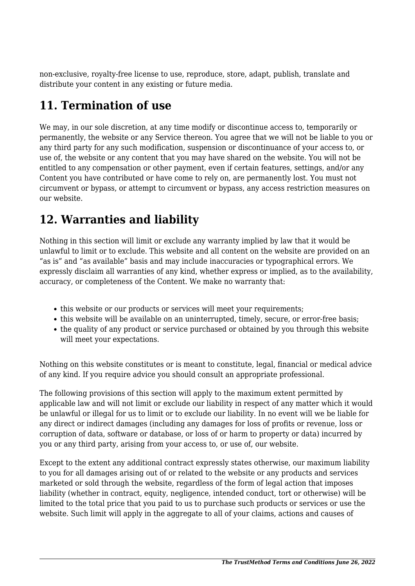non-exclusive, royalty-free license to use, reproduce, store, adapt, publish, translate and distribute your content in any existing or future media.

#### **11. Termination of use**

We may, in our sole discretion, at any time modify or discontinue access to, temporarily or permanently, the website or any Service thereon. You agree that we will not be liable to you or any third party for any such modification, suspension or discontinuance of your access to, or use of, the website or any content that you may have shared on the website. You will not be entitled to any compensation or other payment, even if certain features, settings, and/or any Content you have contributed or have come to rely on, are permanently lost. You must not circumvent or bypass, or attempt to circumvent or bypass, any access restriction measures on our website.

### **12. Warranties and liability**

Nothing in this section will limit or exclude any warranty implied by law that it would be unlawful to limit or to exclude. This website and all content on the website are provided on an "as is" and "as available" basis and may include inaccuracies or typographical errors. We expressly disclaim all warranties of any kind, whether express or implied, as to the availability, accuracy, or completeness of the Content. We make no warranty that:

- this website or our products or services will meet your requirements;
- this website will be available on an uninterrupted, timely, secure, or error-free basis;
- the quality of any product or service purchased or obtained by you through this website will meet your expectations.

Nothing on this website constitutes or is meant to constitute, legal, financial or medical advice of any kind. If you require advice you should consult an appropriate professional.

The following provisions of this section will apply to the maximum extent permitted by applicable law and will not limit or exclude our liability in respect of any matter which it would be unlawful or illegal for us to limit or to exclude our liability. In no event will we be liable for any direct or indirect damages (including any damages for loss of profits or revenue, loss or corruption of data, software or database, or loss of or harm to property or data) incurred by you or any third party, arising from your access to, or use of, our website.

Except to the extent any additional contract expressly states otherwise, our maximum liability to you for all damages arising out of or related to the website or any products and services marketed or sold through the website, regardless of the form of legal action that imposes liability (whether in contract, equity, negligence, intended conduct, tort or otherwise) will be limited to the total price that you paid to us to purchase such products or services or use the website. Such limit will apply in the aggregate to all of your claims, actions and causes of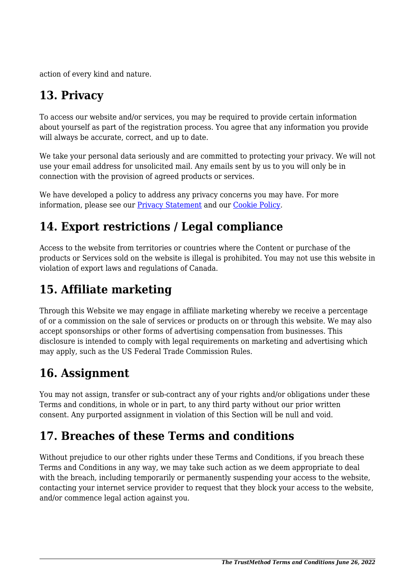action of every kind and nature.

# **13. Privacy**

To access our website and/or services, you may be required to provide certain information about yourself as part of the registration process. You agree that any information you provide will always be accurate, correct, and up to date.

We take your personal data seriously and are committed to protecting your privacy. We will not use your email address for unsolicited mail. Any emails sent by us to you will only be in connection with the provision of agreed products or services.

We have developed a policy to address any privacy concerns you may have. For more information, please see our Privacy Statement and our [Cookie Policy](https://thetrustmethod.com/cookie-policy-ca/).

# **14. Export restrictions / Legal compliance**

Access to the website from territories or countries where the Content or purchase of the products or Services sold on the website is illegal is prohibited. You may not use this website in violation of export laws and regulations of Canada.

# **15. Affiliate marketing**

Through this Website we may engage in affiliate marketing whereby we receive a percentage of or a commission on the sale of services or products on or through this website. We may also accept sponsorships or other forms of advertising compensation from businesses. This disclosure is intended to comply with legal requirements on marketing and advertising which may apply, such as the US Federal Trade Commission Rules.

#### **16. Assignment**

You may not assign, transfer or sub-contract any of your rights and/or obligations under these Terms and conditions, in whole or in part, to any third party without our prior written consent. Any purported assignment in violation of this Section will be null and void.

### **17. Breaches of these Terms and conditions**

Without prejudice to our other rights under these Terms and Conditions, if you breach these Terms and Conditions in any way, we may take such action as we deem appropriate to deal with the breach, including temporarily or permanently suspending your access to the website, contacting your internet service provider to request that they block your access to the website, and/or commence legal action against you.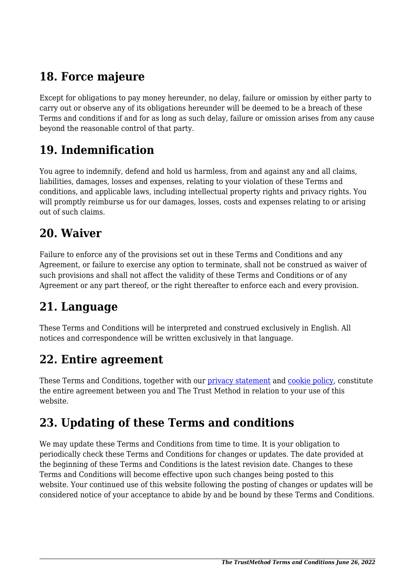### **18. Force majeure**

Except for obligations to pay money hereunder, no delay, failure or omission by either party to carry out or observe any of its obligations hereunder will be deemed to be a breach of these Terms and conditions if and for as long as such delay, failure or omission arises from any cause beyond the reasonable control of that party.

#### **19. Indemnification**

You agree to indemnify, defend and hold us harmless, from and against any and all claims, liabilities, damages, losses and expenses, relating to your violation of these Terms and conditions, and applicable laws, including intellectual property rights and privacy rights. You will promptly reimburse us for our damages, losses, costs and expenses relating to or arising out of such claims.

#### **20. Waiver**

Failure to enforce any of the provisions set out in these Terms and Conditions and any Agreement, or failure to exercise any option to terminate, shall not be construed as waiver of such provisions and shall not affect the validity of these Terms and Conditions or of any Agreement or any part thereof, or the right thereafter to enforce each and every provision.

#### **21. Language**

These Terms and Conditions will be interpreted and construed exclusively in English. All notices and correspondence will be written exclusively in that language.

#### **22. Entire agreement**

These Terms and Conditions, together with our privacy statement and [cookie policy,](https://thetrustmethod.com/cookie-policy-ca/) constitute the entire agreement between you and The Trust Method in relation to your use of this website.

#### **23. Updating of these Terms and conditions**

We may update these Terms and Conditions from time to time. It is your obligation to periodically check these Terms and Conditions for changes or updates. The date provided at the beginning of these Terms and Conditions is the latest revision date. Changes to these Terms and Conditions will become effective upon such changes being posted to this website. Your continued use of this website following the posting of changes or updates will be considered notice of your acceptance to abide by and be bound by these Terms and Conditions.